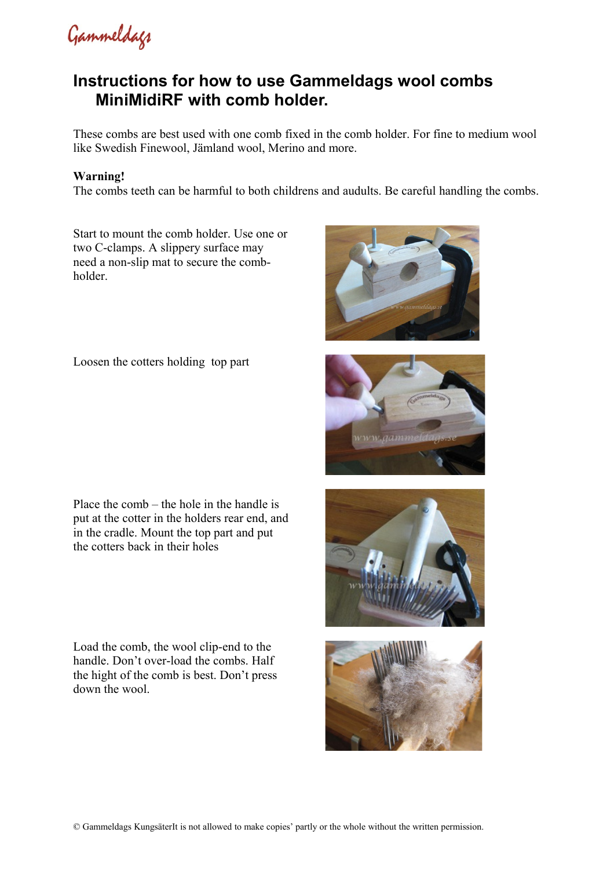Gammeldags

## **Instructions for how to use Gammeldags wool combs MiniMidiRF with comb holder.**

These combs are best used with one comb fixed in the comb holder. For fine to medium wool like Swedish Finewool, Jämland wool, Merino and more.

## **Warning!**

The combs teeth can be harmful to both childrens and audults. Be careful handling the combs.

Start to mount the comb holder. Use one or two C-clamps. A slippery surface may need a non-slip mat to secure the combholder.

Loosen the cotters holding top part

Place the comb – the hole in the handle is put at the cotter in the holders rear end, and in the cradle. Mount the top part and put the cotters back in their holes

Load the comb, the wool clip-end to the handle. Don't over-load the combs. Half the hight of the comb is best. Don't press down the wool.